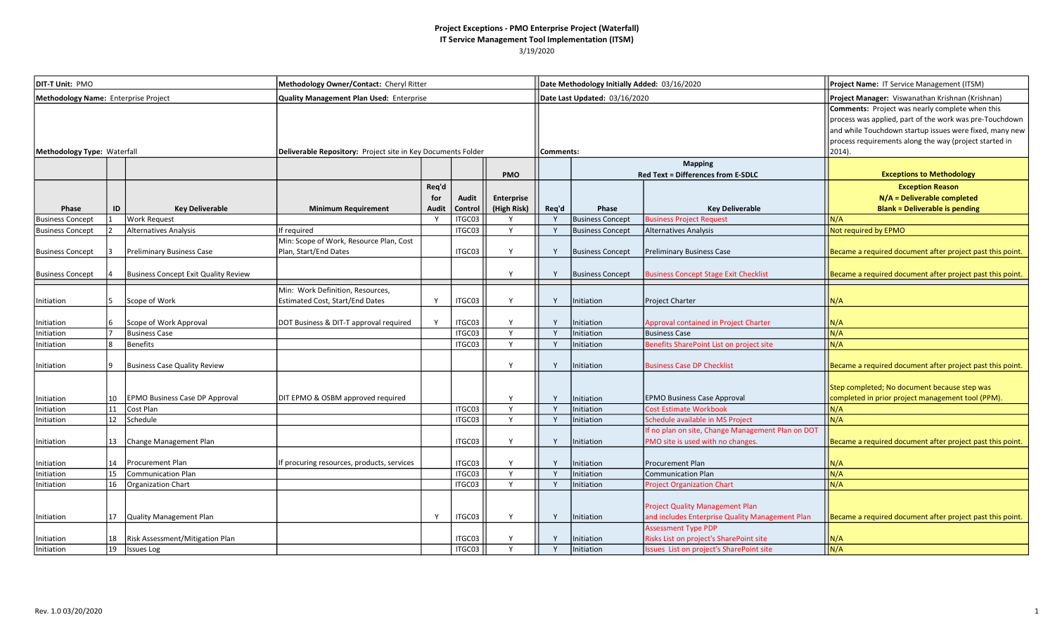| DIT-T Unit: PMO                      |    |                                             | Methodology Owner/Contact: Cheryl Ritter                                   |                       |                  |                           |              | Date Methodology Initially Added: 03/16/2020 |                                                                                                                         | Project Name: IT Service Management (ITSM)                                                                                                                                                                                                          |
|--------------------------------------|----|---------------------------------------------|----------------------------------------------------------------------------|-----------------------|------------------|---------------------------|--------------|----------------------------------------------|-------------------------------------------------------------------------------------------------------------------------|-----------------------------------------------------------------------------------------------------------------------------------------------------------------------------------------------------------------------------------------------------|
| Methodology Name: Enterprise Project |    |                                             | Quality Management Plan Used: Enterprise                                   |                       |                  |                           |              | Date Last Updated: 03/16/2020                |                                                                                                                         | Project Manager: Viswanathan Krishnan (Krishnan)                                                                                                                                                                                                    |
| Methodology Type: Waterfall          |    |                                             | Deliverable Repository: Project site in Key Documents Folder               |                       |                  |                           | Comments:    |                                              |                                                                                                                         | <b>Comments:</b> Project was nearly complete when this<br>process was applied, part of the work was pre-Touchdown<br>and while Touchdown startup issues were fixed, many new<br>process requirements along the way (project started in<br>$2014$ ). |
|                                      |    |                                             |                                                                            |                       |                  | <b>PMO</b>                |              |                                              | <b>Mapping</b><br><b>Red Text = Differences from E-SDLC</b>                                                             | <b>Exceptions to Methodology</b>                                                                                                                                                                                                                    |
| Phase                                | ID | <b>Key Deliverable</b>                      | <b>Minimum Requirement</b>                                                 | Req'd<br>for<br>Audit | Audit<br>Control | Enterprise<br>(High Risk) | Req'd        | Phase                                        | <b>Key Deliverable</b>                                                                                                  | <b>Exception Reason</b><br>N/A = Deliverable completed<br><b>Blank = Deliverable is pending</b>                                                                                                                                                     |
| <b>Business Concept</b>              |    | Work Request                                |                                                                            | Y                     | ITGC03           |                           |              | <b>Business Concept</b>                      | <b>Business Project Request</b>                                                                                         | N/A                                                                                                                                                                                                                                                 |
| <b>Business Concept</b>              |    | Alternatives Analysis                       | If required                                                                |                       | ITGC03           | Y                         | Y            | <b>Business Concept</b>                      | Alternatives Analysis                                                                                                   | Not required by EPMO                                                                                                                                                                                                                                |
| <b>Business Concept</b>              |    | Preliminary Business Case                   | Min: Scope of Work, Resource Plan, Cost<br>Plan, Start/End Dates           |                       | ITGC03           | Y                         | Y            | <b>Business Concept</b>                      | <b>Preliminary Business Case</b>                                                                                        | Became a required document after project past this point.                                                                                                                                                                                           |
| <b>Business Concept</b>              |    | <b>Business Concept Exit Quality Review</b> |                                                                            |                       |                  | Υ                         |              | <b>Business Concept</b>                      | <b>Business Concept Stage Exit Checklist</b>                                                                            | Became a required document after project past this point.                                                                                                                                                                                           |
| Initiation                           |    | Scope of Work                               | Min: Work Definition, Resources,<br><b>Estimated Cost, Start/End Dates</b> | Y                     | ITGC03           | Y                         | Y            | Initiation                                   | Project Charter                                                                                                         | N/A                                                                                                                                                                                                                                                 |
| Initiation                           |    | Scope of Work Approval                      | DOT Business & DIT-T approval required                                     | Y                     | ITGC03           | Y                         | $\mathsf{v}$ | Initiation                                   | Approval contained in Project Charter                                                                                   | N/A                                                                                                                                                                                                                                                 |
| Initiation                           |    | <b>Business Case</b>                        |                                                                            |                       | ITGC03           | Y                         | Y            | Initiation                                   | <b>Business Case</b>                                                                                                    | N/A                                                                                                                                                                                                                                                 |
| Initiation                           |    | <b>Benefits</b>                             |                                                                            |                       | ITGC03           | Y                         | $\mathsf{v}$ | Initiation                                   | Benefits SharePoint List on project site                                                                                | N/A                                                                                                                                                                                                                                                 |
| Initiation                           |    | <b>Business Case Quality Review</b>         |                                                                            |                       |                  | Y                         | Y            | Initiation                                   | <b>Business Case DP Checklist</b>                                                                                       | Became a required document after project past this point.                                                                                                                                                                                           |
| Initiation                           | 10 | <b>EPMO Business Case DP Approval</b>       | DIT EPMO & OSBM approved required                                          |                       |                  | Y                         | Y            | Initiation                                   | <b>EPMO Business Case Approval</b>                                                                                      | Step completed; No document because step was<br>completed in prior project management tool (PPM).                                                                                                                                                   |
| Initiation                           | 11 | Cost Plan                                   |                                                                            |                       | ITGC03           | Y                         |              | Initiation                                   | <b>Cost Estimate Workbook</b>                                                                                           | N/A                                                                                                                                                                                                                                                 |
| Initiation                           | 12 | Schedule                                    |                                                                            |                       | ITGC03           | Y                         | Y            | Initiation                                   | Schedule available in MS Project                                                                                        | N/A                                                                                                                                                                                                                                                 |
| Initiation                           | 13 | Change Management Plan                      |                                                                            |                       | ITGC03           | Y                         | Y            | Initiation                                   | If no plan on site, Change Management Plan on DOT<br>PMO site is used with no changes.                                  | Became a required document after project past this point.                                                                                                                                                                                           |
| Initiation                           | 14 | Procurement Plan                            | If procuring resources, products, services                                 |                       | ITGC03           | Υ                         | Y            | Initiation                                   | Procurement Plan                                                                                                        | N/A                                                                                                                                                                                                                                                 |
| Initiation                           | 15 | <b>Communication Plan</b>                   |                                                                            |                       | ITGC03           | Y                         |              | Initiation                                   | <b>Communication Plan</b>                                                                                               | N/A                                                                                                                                                                                                                                                 |
| Initiation                           | 16 | <b>Organization Chart</b>                   |                                                                            |                       | ITGC03           | $\mathsf{v}$              | $\mathsf{v}$ | Initiation                                   | <b>Project Organization Chart</b>                                                                                       | N/A                                                                                                                                                                                                                                                 |
| Initiation                           | 17 | Quality Management Plan                     |                                                                            | Y                     | ITGC03           | Υ                         | Y            | Initiation                                   | <b>Project Quality Management Plan</b><br>and includes Enterprise Quality Management Plan<br><b>Assessment Type PDP</b> | Became a required document after project past this point.                                                                                                                                                                                           |
| Initiation                           | 18 | Risk Assessment/Mitigation Plan             |                                                                            |                       | ITGC03           | Y                         |              | Initiation                                   | Risks List on project's SharePoint site                                                                                 | N/A                                                                                                                                                                                                                                                 |
| Initiation                           | 19 | <b>Issues Log</b>                           |                                                                            |                       | ITGC03           | Y                         |              | Initiation                                   | <b>Issues List on project's SharePoint site</b>                                                                         | N/A                                                                                                                                                                                                                                                 |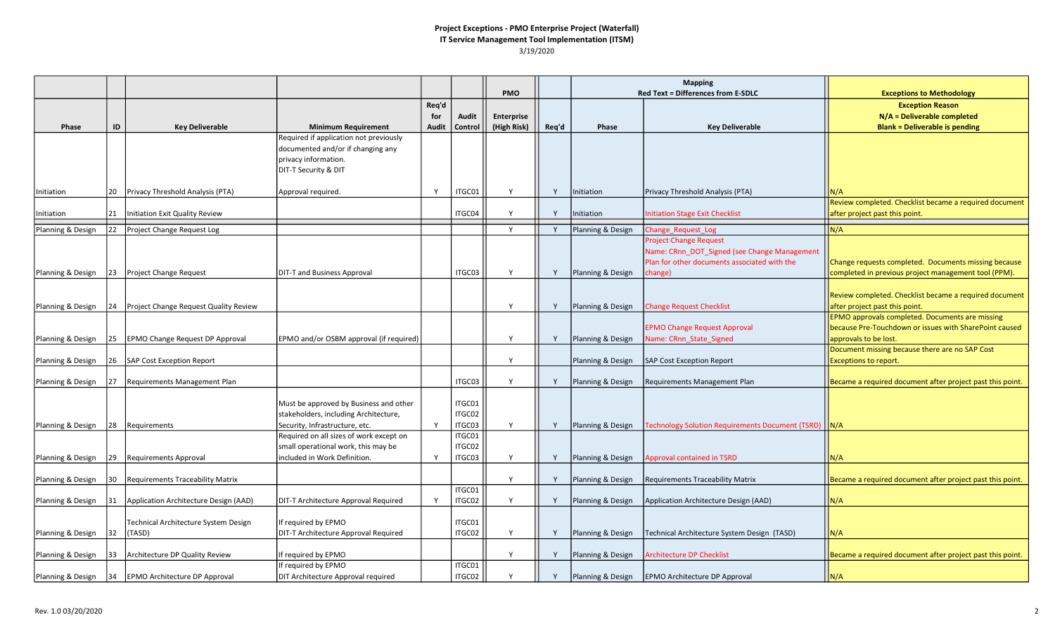|                   |            |                                         |                                         |       |         |                   |       |                   | <b>Mapping</b>                                                                      |                                                           |
|-------------------|------------|-----------------------------------------|-----------------------------------------|-------|---------|-------------------|-------|-------------------|-------------------------------------------------------------------------------------|-----------------------------------------------------------|
|                   |            |                                         |                                         |       |         | <b>PMO</b>        |       |                   | <b>Red Text = Differences from E-SDLC</b>                                           | <b>Exceptions to Methodology</b>                          |
|                   |            |                                         |                                         | Req'd |         |                   |       |                   |                                                                                     | <b>Exception Reason</b>                                   |
|                   |            |                                         |                                         | for   | Audit   | <b>Enterprise</b> |       |                   |                                                                                     | N/A = Deliverable completed                               |
| Phase             | ID         | <b>Key Deliverable</b>                  | <b>Minimum Requirement</b>              | Audit | Control | (High Risk)       | Req'd | Phase             | <b>Key Deliverable</b>                                                              | <b>Blank = Deliverable is pending</b>                     |
|                   |            |                                         | Required if application not previously  |       |         |                   |       |                   |                                                                                     |                                                           |
|                   |            |                                         | documented and/or if changing any       |       |         |                   |       |                   |                                                                                     |                                                           |
|                   |            |                                         | privacy information.                    |       |         |                   |       |                   |                                                                                     |                                                           |
|                   |            |                                         | DIT-T Security & DIT                    |       |         |                   |       |                   |                                                                                     |                                                           |
|                   |            |                                         |                                         |       |         |                   |       |                   |                                                                                     |                                                           |
| Initiation        | 20         | Privacy Threshold Analysis (PTA)        | Approval required.                      | Y     | ITGC01  | Y                 | Y     | Initiation        | Privacy Threshold Analysis (PTA)                                                    | N/A                                                       |
|                   |            |                                         |                                         |       |         |                   |       |                   |                                                                                     | Review completed. Checklist became a required document    |
| Initiation        | 21         | Initiation Exit Quality Review          |                                         |       | ITGC04  | Y                 | Y     | Initiation        | <b>Initiation Stage Exit Checklist</b>                                              | after project past this point.                            |
| Planning & Design | 22         | Project Change Request Log              |                                         |       |         | Y                 | Y     | Planning & Design | Change Request Log                                                                  | N/A                                                       |
|                   |            |                                         |                                         |       |         |                   |       |                   | <b>Project Change Request</b>                                                       |                                                           |
|                   |            |                                         |                                         |       |         |                   |       |                   | Name: CRnn_DOT_Signed (see Change Management                                        |                                                           |
|                   |            |                                         |                                         |       |         |                   |       |                   | Plan for other documents associated with the                                        | Change requests completed. Documents missing because      |
| Planning & Design | 23         | Project Change Request                  | DIT-T and Business Approval             |       | ITGC03  | Y                 | Y     | Planning & Design | change)                                                                             | completed in previous project management tool (PPM).      |
|                   |            |                                         |                                         |       |         |                   |       |                   |                                                                                     |                                                           |
|                   |            |                                         |                                         |       |         |                   |       |                   |                                                                                     | Review completed. Checklist became a required document    |
| Planning & Design | 24         | Project Change Request Quality Review   |                                         |       |         |                   | Y     | Planning & Design | <b>Change Request Checklist</b>                                                     | after project past this point.                            |
|                   |            |                                         |                                         |       |         |                   |       |                   |                                                                                     | <b>EPMO</b> approvals completed. Documents are missing    |
|                   |            |                                         |                                         |       |         |                   |       |                   | <b>EPMO Change Request Approval</b>                                                 | because Pre-Touchdown or issues with SharePoint caused    |
| Planning & Design | 25         | <b>EPMO Change Request DP Approval</b>  | EPMO and/or OSBM approval (if required) |       |         | Y                 | Y     | Planning & Design | Name: CRnn_State_Signed                                                             | approvals to be lost.                                     |
|                   |            |                                         |                                         |       |         |                   |       |                   |                                                                                     | Document missing because there are no SAP Cost            |
| Planning & Design | 26         | SAP Cost Exception Report               |                                         |       |         | <b>V</b>          |       | Planning & Design | SAP Cost Exception Report                                                           | <b>Exceptions to report.</b>                              |
|                   |            |                                         |                                         |       | ITGC03  | Y                 | Y     |                   |                                                                                     |                                                           |
| Planning & Design | 27         | Requirements Management Plan            |                                         |       |         |                   |       | Planning & Design | Requirements Management Plan                                                        | Became a required document after project past this point. |
|                   |            |                                         | Must be approved by Business and other  |       | ITGC01  |                   |       |                   |                                                                                     |                                                           |
|                   |            |                                         | stakeholders, including Architecture,   |       | ITGC02  |                   |       |                   |                                                                                     |                                                           |
| Planning & Design | <u> 28</u> | Requirements                            | Security, Infrastructure, etc.          | Y     | ITGC03  | Y                 | Y     |                   | <b>Planning &amp; Design Technology Solution Requirements Document (TSRD)   N/A</b> |                                                           |
|                   |            |                                         | Required on all sizes of work except on |       | ITGC01  |                   |       |                   |                                                                                     |                                                           |
|                   |            |                                         | small operational work, this may be     |       | ITGC02  |                   |       |                   |                                                                                     |                                                           |
| Planning & Design | 29         | Requirements Approval                   | included in Work Definition.            | Y     | ITGC03  | Y                 | Y     | Planning & Design | <b>Approval contained in TSRD</b>                                                   | N/A                                                       |
|                   |            |                                         |                                         |       |         |                   |       |                   |                                                                                     |                                                           |
| Planning & Design | 30         | <b>Requirements Traceability Matrix</b> |                                         |       |         | Y                 | Y     | Planning & Design | Requirements Traceability Matrix                                                    | Became a required document after project past this point. |
|                   |            |                                         |                                         |       | ITGC01  |                   |       |                   |                                                                                     |                                                           |
| Planning & Design | 31         | Application Architecture Design (AAD)   | DIT-T Architecture Approval Required    | Y     | ITGC02  | Y                 | Y     | Planning & Design | Application Architecture Design (AAD)                                               | N/A                                                       |
|                   |            |                                         |                                         |       |         |                   |       |                   |                                                                                     |                                                           |
|                   |            | Technical Architecture System Design    | If required by EPMO                     |       | ITGC01  |                   |       |                   |                                                                                     |                                                           |
| Planning & Design | 32         | (TASD)                                  | DIT-T Architecture Approval Required    |       | ITGC02  |                   | Y     | Planning & Design | Technical Architecture System Design (TASD)                                         | N/A                                                       |
|                   |            |                                         |                                         |       |         |                   |       |                   |                                                                                     |                                                           |
| Planning & Design | 33         | Architecture DP Quality Review          | If required by EPMO                     |       |         | Y                 | Y     | Planning & Design | <b>Architecture DP Checklist</b>                                                    | Became a required document after project past this point. |
|                   |            |                                         | If required by EPMO                     |       | ITGC01  |                   |       |                   |                                                                                     |                                                           |
| Planning & Design | 34         | <b>EPMO Architecture DP Approval</b>    | DIT Architecture Approval required      |       | ITGC02  |                   |       |                   | Planning & Design   EPMO Architecture DP Approval                                   | N/A                                                       |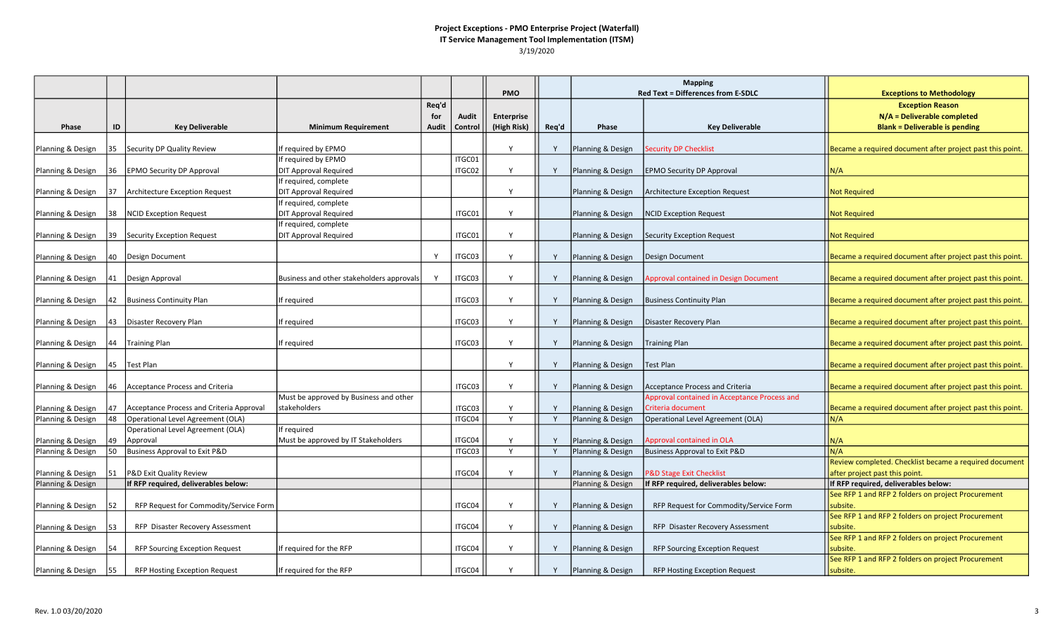|                   |          |                                          |                                           |       |                  |                   |       | <b>Mapping</b>    |                                              |                                                           |
|-------------------|----------|------------------------------------------|-------------------------------------------|-------|------------------|-------------------|-------|-------------------|----------------------------------------------|-----------------------------------------------------------|
|                   |          |                                          |                                           |       |                  | <b>PMO</b>        |       |                   | <b>Red Text = Differences from E-SDLC</b>    | <b>Exceptions to Methodology</b>                          |
|                   |          |                                          |                                           | Req'd |                  |                   |       |                   |                                              | <b>Exception Reason</b>                                   |
|                   |          |                                          |                                           | for   | <b>Audit</b>     | <b>Enterprise</b> |       |                   |                                              | N/A = Deliverable completed                               |
| Phase             | ID       | <b>Key Deliverable</b>                   | <b>Minimum Requirement</b>                | Audit | Control          | (High Risk)       | Req'd | Phase             | <b>Key Deliverable</b>                       | <b>Blank = Deliverable is pending</b>                     |
| Planning & Design | 35       | Security DP Quality Review               | f required by EPMO                        |       |                  | Y                 |       | Planning & Design | Security DP Checklist                        | Became a required document after project past this point  |
|                   |          |                                          | If required by EPMO                       |       | ITGC01           |                   |       |                   |                                              |                                                           |
| Planning & Design | 36       | <b>EPMO Security DP Approval</b>         | <b>DIT Approval Required</b>              |       | ITGC02           | Y                 | Y     | Planning & Design | <b>EPMO Security DP Approval</b>             | N/A                                                       |
|                   |          |                                          | If required, complete                     |       |                  |                   |       |                   |                                              |                                                           |
| Planning & Design | 37       | <b>Architecture Exception Request</b>    | <b>DIT Approval Required</b>              |       |                  | Y                 |       | Planning & Design | Architecture Exception Request               | <b>Not Required</b>                                       |
|                   |          |                                          | f required, complete                      |       |                  |                   |       |                   |                                              |                                                           |
| Planning & Design | 38       | <b>NCID Exception Request</b>            | <b>DIT Approval Required</b>              |       | ITGC01           | Υ                 |       | Planning & Design | <b>NCID Exception Request</b>                | <b>Not Required</b>                                       |
|                   |          |                                          | If required, complete                     |       |                  |                   |       |                   |                                              |                                                           |
| Planning & Design | 39       | <b>Security Exception Request</b>        | <b>DIT Approval Required</b>              |       | ITGC01           | Y                 |       | Planning & Design | <b>Security Exception Request</b>            | <b>Not Required</b>                                       |
|                   |          |                                          |                                           |       |                  |                   |       |                   |                                              |                                                           |
| Planning & Design | 40       | Design Document                          |                                           | Y     | ITGC03           | Y                 | Y     | Planning & Design | Design Document                              | Became a required document after project past this point. |
|                   |          |                                          |                                           |       |                  |                   |       |                   |                                              |                                                           |
| Planning & Design | 41       | Design Approval                          | Business and other stakeholders approvals | Y     | ITGC03           | Y                 | Y     | Planning & Design | Approval contained in Design Document        | Became a required document after project past this point. |
|                   |          |                                          |                                           |       | ITGC03           | Y                 |       |                   |                                              |                                                           |
| Planning & Design |          | 42 Business Continuity Plan              | f required                                |       |                  |                   | Y     | Planning & Design | <b>Business Continuity Plan</b>              | Became a required document after project past this point. |
| Planning & Design | 43       | Disaster Recovery Plan                   | If required                               |       | ITGC03           | Y                 | Y     | Planning & Design | Disaster Recovery Plan                       | Became a required document after project past this point. |
|                   |          |                                          |                                           |       |                  |                   |       |                   |                                              |                                                           |
| Planning & Design | 44       | Training Plan                            | f required                                |       | ITGC03           | Y                 | Y     | Planning & Design | <b>Training Plan</b>                         | Became a required document after project past this point. |
|                   |          |                                          |                                           |       |                  |                   |       |                   |                                              |                                                           |
| Planning & Design | 45       | Test Plan                                |                                           |       |                  | Y                 | Y     | Planning & Design | Test Plan                                    | Became a required document after project past this point. |
|                   |          |                                          |                                           |       |                  |                   |       |                   |                                              |                                                           |
| Planning & Design | 46       | <b>Acceptance Process and Criteria</b>   |                                           |       | ITGC03           | Υ                 | Y     | Planning & Design | Acceptance Process and Criteria              | Became a required document after project past this point. |
|                   |          |                                          | Must be approved by Business and other    |       |                  |                   |       |                   | Approval contained in Acceptance Process and |                                                           |
| Planning & Design | 47       | Acceptance Process and Criteria Approval | stakeholders                              |       | ITGC03           | Y                 | Y     | Planning & Design | Criteria document                            | Became a required document after project past this point. |
| Planning & Design | 48       | Operational Level Agreement (OLA)        |                                           |       | ITGC04           | Y                 | Y     | Planning & Design | Operational Level Agreement (OLA)            | N/A                                                       |
|                   |          | Operational Level Agreement (OLA)        | If required                               |       |                  |                   | Y     |                   |                                              |                                                           |
| Planning & Design | 49<br>50 | Approval                                 | Must be approved by IT Stakeholders       |       | ITGC04<br>ITGC03 | Y<br>Y            | Y     | Planning & Design | Approval contained in OLA                    | N/A<br>N/A                                                |
| Planning & Design |          | Business Approval to Exit P&D            |                                           |       |                  |                   |       | Planning & Design | <b>Business Approval to Exit P&amp;D</b>     | Review completed. Checklist became a required document    |
| Planning & Design | 51       | P&D Exit Quality Review                  |                                           |       | ITGC04           | Υ                 | Y     | Planning & Design | <b>P&amp;D Stage Exit Checklist</b>          | after project past this point.                            |
| Planning & Design |          | If RFP required, deliverables below:     |                                           |       |                  |                   |       | Planning & Design | If RFP required, deliverables below:         | If RFP required, deliverables below:                      |
|                   |          |                                          |                                           |       |                  |                   |       |                   |                                              | See RFP 1 and RFP 2 folders on project Procurement        |
| Planning & Design | 52       | RFP Request for Commodity/Service Form   |                                           |       | ITGC04           | Y                 | Y     | Planning & Design | RFP Request for Commodity/Service Form       | subsite.                                                  |
|                   |          |                                          |                                           |       |                  |                   |       |                   |                                              | See RFP 1 and RFP 2 folders on project Procurement        |
| Planning & Design | 153      | RFP Disaster Recovery Assessment         |                                           |       | ITGC04           | Y                 | Y     | Planning & Design | RFP Disaster Recovery Assessment             | subsite.                                                  |
|                   |          |                                          |                                           |       |                  |                   |       |                   |                                              | See RFP 1 and RFP 2 folders on project Procurement        |
| Planning & Design |          | <b>RFP Sourcing Exception Request</b>    | If required for the RFP                   |       | ITGC04           | Y                 | Y     | Planning & Design | <b>RFP Sourcing Exception Request</b>        | subsite                                                   |
|                   |          |                                          |                                           |       |                  |                   |       |                   |                                              | See RFP 1 and RFP 2 folders on project Procurement        |
| Planning & Design | 55       | <b>RFP Hosting Exception Request</b>     | If required for the RFP                   |       | ITGC04           |                   |       | Planning & Design | <b>RFP Hosting Exception Request</b>         | subsite.                                                  |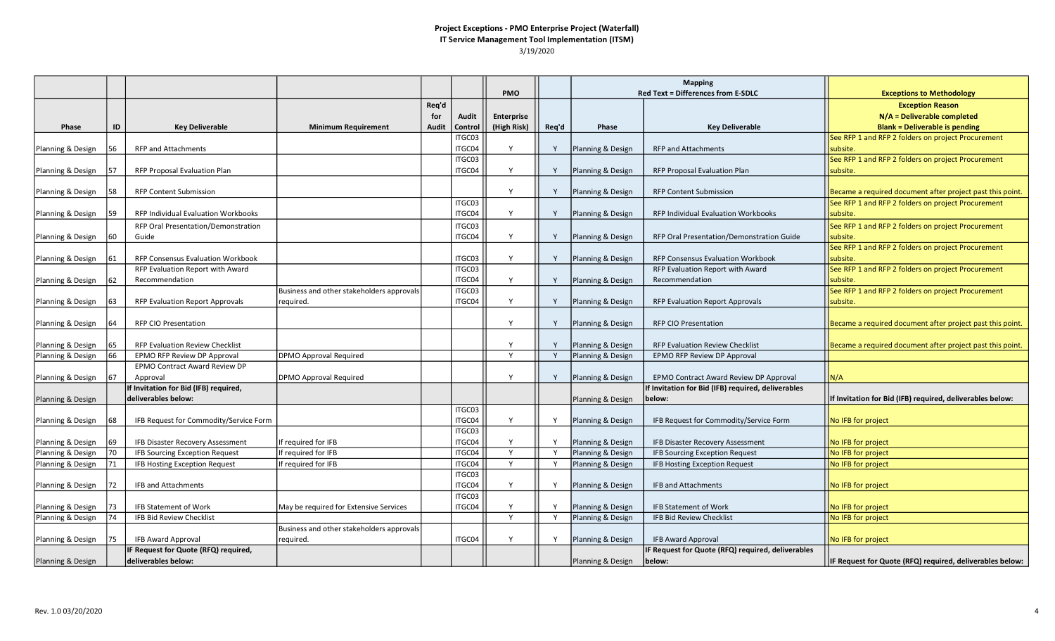|                   |          |                                                              |                                           |       |         |             |       |                                        | <b>Mapping</b>                                     |                                                           |
|-------------------|----------|--------------------------------------------------------------|-------------------------------------------|-------|---------|-------------|-------|----------------------------------------|----------------------------------------------------|-----------------------------------------------------------|
|                   |          |                                                              |                                           |       |         | PMO         |       |                                        | <b>Red Text = Differences from E-SDLC</b>          | <b>Exceptions to Methodology</b>                          |
|                   |          |                                                              |                                           | Req'd |         |             |       |                                        |                                                    | <b>Exception Reason</b>                                   |
|                   |          |                                                              |                                           | for   | Audit   | Enterprise  |       |                                        |                                                    | $N/A =$ Deliverable completed                             |
| Phase             | ID       | <b>Key Deliverable</b>                                       | <b>Minimum Requirement</b>                | Audit | Control | (High Risk) | Req'd | Phase                                  | <b>Key Deliverable</b>                             | <b>Blank = Deliverable is pending</b>                     |
|                   |          |                                                              |                                           |       | ITGC03  |             |       |                                        |                                                    | See RFP 1 and RFP 2 folders on project Procurement        |
| Planning & Design | 56       | <b>RFP and Attachments</b>                                   |                                           |       | ITGC04  | Y           | Y     | Planning & Design                      | <b>RFP and Attachments</b>                         | Isubsite.                                                 |
|                   |          |                                                              |                                           |       | ITGC03  |             |       |                                        |                                                    | See RFP 1 and RFP 2 folders on project Procurement        |
| Planning & Design | 57       | RFP Proposal Evaluation Plan                                 |                                           |       | ITGC04  | Υ           | Y     | Planning & Design                      | RFP Proposal Evaluation Plan                       | subsite.                                                  |
|                   |          |                                                              |                                           |       |         |             |       |                                        |                                                    |                                                           |
| Planning & Design | 58       | <b>RFP Content Submission</b>                                |                                           |       |         | Y           | Y     | Planning & Design                      | <b>RFP Content Submission</b>                      | Became a required document after project past this point. |
|                   |          |                                                              |                                           |       | ITGC03  | Y           |       |                                        |                                                    | See RFP 1 and RFP 2 folders on project Procurement        |
| Planning & Design | 59       | <b>RFP Individual Evaluation Workbooks</b>                   |                                           |       | ITGC04  |             |       | Planning & Design                      | RFP Individual Evaluation Workbooks                | subsite.                                                  |
|                   |          | RFP Oral Presentation/Demonstration                          |                                           |       | ITGC03  |             |       |                                        |                                                    | See RFP 1 and RFP 2 folders on project Procurement        |
| Planning & Design | 60       | Guide                                                        |                                           |       | ITGC04  | Y           | Y     | Planning & Design                      | RFP Oral Presentation/Demonstration Guide          | subsite.                                                  |
|                   |          |                                                              |                                           |       |         |             |       |                                        |                                                    | See RFP 1 and RFP 2 folders on project Procurement        |
| Planning & Design | 61       | RFP Consensus Evaluation Workbook                            |                                           |       | ITGC03  | Y           | Y     | Planning & Design                      | RFP Consensus Evaluation Workbook                  | subsite.                                                  |
|                   |          | RFP Evaluation Report with Award                             |                                           |       | ITGC03  |             |       |                                        | RFP Evaluation Report with Award                   | See RFP 1 and RFP 2 folders on project Procurement        |
| Planning & Design | 62       | Recommendation                                               |                                           |       | ITGC04  | Y           | Y     | Planning & Design                      | Recommendation                                     | Isubsite.                                                 |
|                   |          |                                                              | Business and other stakeholders approvals |       | ITGC03  |             |       |                                        |                                                    | See RFP 1 and RFP 2 folders on project Procurement        |
| Planning & Design | 63       | <b>RFP Evaluation Report Approvals</b>                       | required.                                 |       | ITGC04  | v           | Y     | Planning & Design                      | <b>RFP Evaluation Report Approvals</b>             | subsite.                                                  |
|                   |          |                                                              |                                           |       |         |             |       |                                        |                                                    |                                                           |
| Planning & Design | 64       | <b>RFP CIO Presentation</b>                                  |                                           |       |         | Y           | Y     | Planning & Design                      | <b>RFP CIO Presentation</b>                        | Became a required document after project past this point. |
|                   |          |                                                              |                                           |       |         | Y           |       |                                        | <b>RFP Evaluation Review Checklist</b>             |                                                           |
| Planning & Design | 65<br>66 | <b>RFP Evaluation Review Checklist</b>                       | <b>DPMO Approval Required</b>             |       |         | Y           | Y     | Planning & Design<br>Planning & Design |                                                    | Became a required document after project past this point. |
| Planning & Design |          | EPMO RFP Review DP Approval<br>EPMO Contract Award Review DP |                                           |       |         |             |       |                                        | EPMO RFP Review DP Approval                        |                                                           |
| Planning & Design | 67       | Approval                                                     | DPMO Approval Required                    |       |         |             | Y     | Planning & Design                      | EPMO Contract Award Review DP Approval             | N/A                                                       |
|                   |          | If Invitation for Bid (IFB) required,                        |                                           |       |         |             |       |                                        | If Invitation for Bid (IFB) required, deliverables |                                                           |
| Planning & Design |          | deliverables below:                                          |                                           |       |         |             |       | Planning & Design                      | below:                                             | If Invitation for Bid (IFB) required, deliverables below: |
|                   |          |                                                              |                                           |       | ITGC03  |             |       |                                        |                                                    |                                                           |
| Planning & Design | 68       | IFB Request for Commodity/Service Form                       |                                           |       | ITGC04  | Y           | Υ     | Planning & Design                      | IFB Request for Commodity/Service Form             | No IFB for project                                        |
|                   |          |                                                              |                                           |       | ITGC03  |             |       |                                        |                                                    |                                                           |
| Planning & Design | 69       | IFB Disaster Recovery Assessment                             | If required for IFB                       |       | ITGC04  | Y           | Y     | Planning & Design                      | IFB Disaster Recovery Assessment                   | No IFB for project                                        |
| Planning & Design | 70       | IFB Sourcing Exception Request                               | If required for IFB                       |       | ITGC04  | Y           | Y     | Planning & Design                      | IFB Sourcing Exception Request                     | No IFB for project                                        |
| Planning & Design | 71       | IFB Hosting Exception Request                                | f required for IFB                        |       | ITGC04  | Y           | Y     | Planning & Design                      | IFB Hosting Exception Request                      | No IFB for project                                        |
|                   |          |                                                              |                                           |       | ITGC03  |             |       |                                        |                                                    |                                                           |
| Planning & Design | 72       | <b>IFB and Attachments</b>                                   |                                           |       | ITGC04  | Y           | Y     | Planning & Design                      | <b>IFB and Attachments</b>                         | No IFB for project                                        |
|                   |          |                                                              |                                           |       | ITGC03  |             |       |                                        |                                                    |                                                           |
| Planning & Design | 73       | IFB Statement of Work                                        | May be required for Extensive Services    |       | ITGC04  | Y           | Y     | Planning & Design                      | <b>IFB Statement of Work</b>                       | No IFB for project                                        |
| Planning & Design | 74       | IFB Bid Review Checklist                                     |                                           |       |         | Y           | Y     | Planning & Design                      | <b>IFB Bid Review Checklist</b>                    | No IFB for project                                        |
|                   |          |                                                              | Business and other stakeholders approvals |       |         |             |       |                                        |                                                    |                                                           |
| Planning & Design | 75       | IFB Award Approval                                           | required.                                 |       | ITGC04  | Υ           | Y     | Planning & Design                      | <b>IFB Award Approval</b>                          | No IFB for project                                        |
|                   |          | IF Request for Quote (RFQ) required,                         |                                           |       |         |             |       |                                        | IF Request for Quote (RFQ) required, deliverables  |                                                           |
| Planning & Design |          | deliverables below:                                          |                                           |       |         |             |       | Planning & Design                      | below:                                             | IF Request for Quote (RFQ) required, deliverables below:  |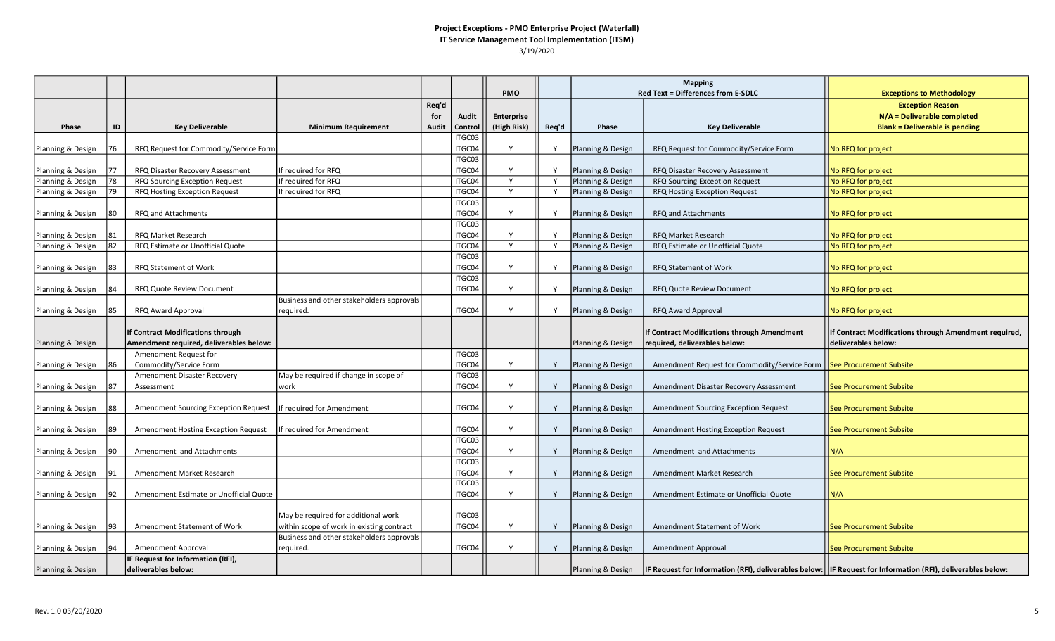|                                        |          |                                                                              |                                           |       |                  |                   |       | <b>Mapping</b>                         |                                                                             |                                                                                                               |
|----------------------------------------|----------|------------------------------------------------------------------------------|-------------------------------------------|-------|------------------|-------------------|-------|----------------------------------------|-----------------------------------------------------------------------------|---------------------------------------------------------------------------------------------------------------|
|                                        |          |                                                                              |                                           |       |                  | <b>PMO</b>        |       |                                        | <b>Red Text = Differences from E-SDLC</b>                                   | <b>Exceptions to Methodology</b>                                                                              |
|                                        |          |                                                                              |                                           | Req'd |                  |                   |       |                                        |                                                                             | <b>Exception Reason</b>                                                                                       |
|                                        |          |                                                                              |                                           | for   | Audit            | <b>Enterprise</b> |       |                                        |                                                                             | N/A = Deliverable completed                                                                                   |
| Phase                                  | ID       | <b>Key Deliverable</b>                                                       | <b>Minimum Requirement</b>                | Audit | Control          | (High Risk)       | Req'd | Phase                                  | <b>Key Deliverable</b>                                                      | <b>Blank = Deliverable is pending</b>                                                                         |
|                                        |          |                                                                              |                                           |       | ITGC03           |                   |       |                                        |                                                                             |                                                                                                               |
| Planning & Design                      | 76       | RFQ Request for Commodity/Service Form                                       |                                           |       | ITGC04           | Υ                 |       | Planning & Design                      | RFQ Request for Commodity/Service Form                                      | No RFQ for project                                                                                            |
|                                        |          |                                                                              |                                           |       | ITGC03           | Y                 | Y     |                                        |                                                                             |                                                                                                               |
| Planning & Design<br>Planning & Design | 77<br>78 | RFQ Disaster Recovery Assessment<br>RFQ Sourcing Exception Request           | f required for RFQ<br>If required for RFQ |       | ITGC04<br>ITGC04 | Y                 | Y     | Planning & Design<br>Planning & Design | RFQ Disaster Recovery Assessment<br>RFQ Sourcing Exception Request          | No RFQ for project<br>No RFQ for project                                                                      |
| Planning & Design                      | 79       | RFQ Hosting Exception Request                                                | f required for RFQ                        |       | ITGC04           | Y                 | Y     | Planning & Design                      | RFQ Hosting Exception Request                                               | No RFQ for project                                                                                            |
|                                        |          |                                                                              |                                           |       | ITGC03           |                   |       |                                        |                                                                             |                                                                                                               |
| Planning & Design                      | 180      | RFQ and Attachments                                                          |                                           |       | ITGC04           | Y                 | Y     | Planning & Design                      | <b>RFQ and Attachments</b>                                                  | No RFQ for project                                                                                            |
|                                        |          |                                                                              |                                           |       | ITGC03           |                   |       |                                        |                                                                             |                                                                                                               |
| Planning & Design                      | 81       | <b>RFQ Market Research</b>                                                   |                                           |       | ITGC04           | Y                 |       | Planning & Design                      | RFQ Market Research                                                         | No RFQ for project                                                                                            |
| Planning & Design                      | 82       | RFQ Estimate or Unofficial Quote                                             |                                           |       | ITGC04           | Y                 | Y     | Planning & Design                      | RFQ Estimate or Unofficial Quote                                            | No RFQ for project                                                                                            |
|                                        |          |                                                                              |                                           |       | ITGC03           |                   |       |                                        |                                                                             |                                                                                                               |
| Planning & Design                      | 83       | RFQ Statement of Work                                                        |                                           |       | ITGC04           | Y                 | Y     | Planning & Design                      | RFQ Statement of Work                                                       | No RFQ for project                                                                                            |
|                                        |          |                                                                              |                                           |       | ITGC03           |                   |       |                                        |                                                                             |                                                                                                               |
| Planning & Design                      | 184      | <b>RFQ Quote Review Document</b>                                             |                                           |       | ITGC04           | Y                 | Y     | Planning & Design                      | RFQ Quote Review Document                                                   | No RFQ for project                                                                                            |
|                                        |          |                                                                              | Business and other stakeholders approvals |       |                  |                   |       |                                        |                                                                             |                                                                                                               |
| Planning & Design                      | 85       | RFQ Award Approval                                                           | required.                                 |       | ITGC04           | Y                 | Y     | Planning & Design                      | RFQ Award Approval                                                          | No RFQ for project                                                                                            |
|                                        |          |                                                                              |                                           |       |                  |                   |       |                                        |                                                                             |                                                                                                               |
|                                        |          | If Contract Modifications through<br>Amendment required, deliverables below: |                                           |       |                  |                   |       |                                        | If Contract Modifications through Amendment<br>equired, deliverables below: | If Contract Modifications through Amendment required,<br>deliverables below:                                  |
| Planning & Design                      |          | Amendment Request for                                                        |                                           |       | ITGC03           |                   |       | Planning & Design                      |                                                                             |                                                                                                               |
| Planning & Design                      | 186      | Commodity/Service Form                                                       |                                           |       | ITGC04           | Y                 | Y     | Planning & Design                      | Amendment Request for Commodity/Service Form   See Procurement Subsite      |                                                                                                               |
|                                        |          | Amendment Disaster Recovery                                                  | May be required if change in scope of     |       | ITGC03           |                   |       |                                        |                                                                             |                                                                                                               |
| Planning & Design                      | 187      | Assessment                                                                   | work                                      |       | ITGC04           | Y                 | Y     | Planning & Design                      | Amendment Disaster Recovery Assessment                                      | See Procurement Subsite                                                                                       |
|                                        |          |                                                                              |                                           |       |                  |                   |       |                                        |                                                                             |                                                                                                               |
| Planning & Design                      | 88       | Amendment Sourcing Exception Request                                         | If required for Amendment                 |       | ITGC04           | Y                 | Y     | Planning & Design                      | Amendment Sourcing Exception Request                                        | See Procurement Subsite                                                                                       |
|                                        |          |                                                                              |                                           |       |                  |                   |       |                                        |                                                                             |                                                                                                               |
| Planning & Design                      | 89       | Amendment Hosting Exception Request                                          | f required for Amendment                  |       | ITGC04           | Y                 | Y     | Planning & Design                      | Amendment Hosting Exception Request                                         | See Procurement Subsite                                                                                       |
|                                        |          |                                                                              |                                           |       | ITGC03           |                   |       |                                        |                                                                             |                                                                                                               |
| Planning & Design                      | 190      | Amendment and Attachments                                                    |                                           |       | ITGC04           | Y                 | Y     | Planning & Design                      | Amendment and Attachments                                                   | N/A                                                                                                           |
|                                        |          |                                                                              |                                           |       | ITGC03           |                   |       |                                        |                                                                             |                                                                                                               |
| Planning & Design                      | 191      | Amendment Market Research                                                    |                                           |       | ITGC04           | Y                 | Y     | Planning & Design                      | Amendment Market Research                                                   | See Procurement Subsite                                                                                       |
|                                        |          |                                                                              |                                           |       | ITGC03           |                   |       |                                        |                                                                             |                                                                                                               |
| Planning & Design                      | 92       | Amendment Estimate or Unofficial Quote                                       |                                           |       | ITGC04           | Y                 | Y     | Planning & Design                      | Amendment Estimate or Unofficial Quote                                      | N/A                                                                                                           |
|                                        |          |                                                                              | May be required for additional work       |       | ITGC03           |                   |       |                                        |                                                                             |                                                                                                               |
| Planning & Design                      | 93       | Amendment Statement of Work                                                  | within scope of work in existing contract |       | ITGC04           | Y                 | Y     | Planning & Design                      | Amendment Statement of Work                                                 | See Procurement Subsite                                                                                       |
|                                        |          |                                                                              | Business and other stakeholders approvals |       |                  |                   |       |                                        |                                                                             |                                                                                                               |
| Planning & Design                      | 94       | Amendment Approval                                                           | required.                                 |       | ITGC04           | Y                 | Y     | Planning & Design                      | <b>Amendment Approval</b>                                                   | <b>See Procurement Subsite</b>                                                                                |
|                                        |          | IF Request for Information (RFI),                                            |                                           |       |                  |                   |       |                                        |                                                                             |                                                                                                               |
| Planning & Design                      |          | deliverables below:                                                          |                                           |       |                  |                   |       | Planning & Design                      |                                                                             | IF Request for Information (RFI), deliverables below:   IF Request for Information (RFI), deliverables below: |